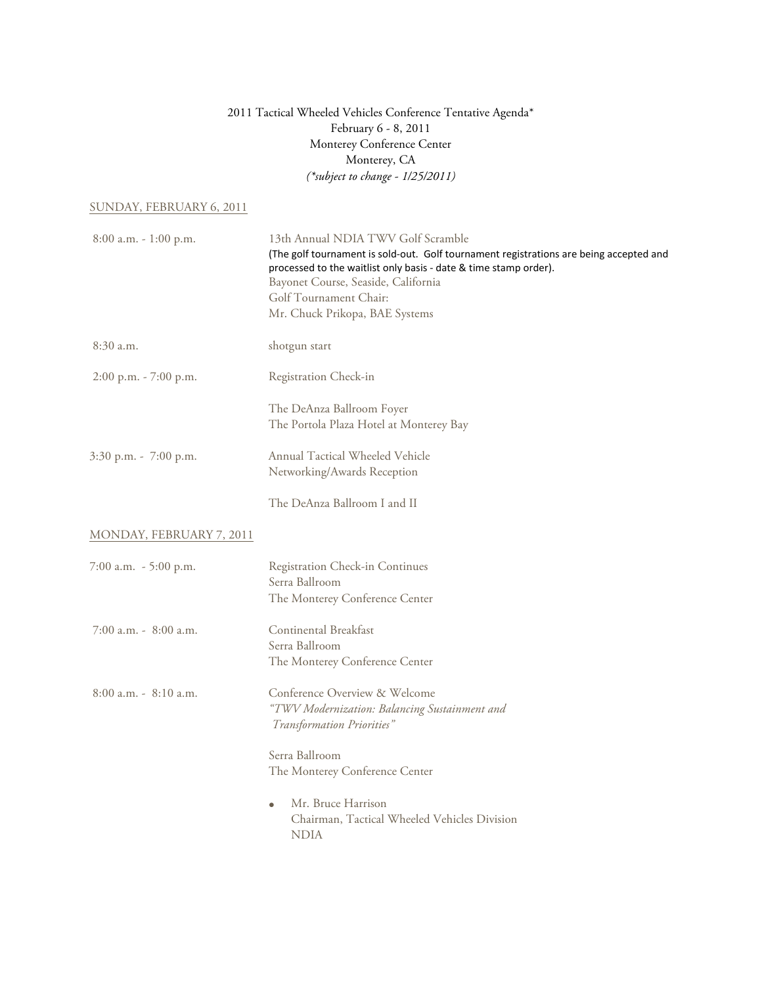## 2011 Tactical Wheeled Vehicles Conference Tentative Agenda\* February 6 - 8, 2011 Monterey Conference Center Monterey, CA *(\*subject to change - 1/25/2011)*

#### SUNDAY, FEBRUARY 6, 2011

| $8:00$ a.m. $-1:00$ p.m. | 13th Annual NDIA TWV Golf Scramble<br>(The golf tournament is sold-out. Golf tournament registrations are being accepted and<br>processed to the waitlist only basis - date & time stamp order).<br>Bayonet Course, Seaside, California<br>Golf Tournament Chair:<br>Mr. Chuck Prikopa, BAE Systems |  |
|--------------------------|-----------------------------------------------------------------------------------------------------------------------------------------------------------------------------------------------------------------------------------------------------------------------------------------------------|--|
| $8:30$ a.m.              | shotgun start                                                                                                                                                                                                                                                                                       |  |
| 2:00 p.m. - 7:00 p.m.    | Registration Check-in                                                                                                                                                                                                                                                                               |  |
|                          | The DeAnza Ballroom Foyer<br>The Portola Plaza Hotel at Monterey Bay                                                                                                                                                                                                                                |  |
| 3:30 p.m. - 7:00 p.m.    | Annual Tactical Wheeled Vehicle<br>Networking/Awards Reception                                                                                                                                                                                                                                      |  |
|                          | The DeAnza Ballroom I and II                                                                                                                                                                                                                                                                        |  |
| MONDAY, FEBRUARY 7, 2011 |                                                                                                                                                                                                                                                                                                     |  |
| 7:00 a.m. $-5:00$ p.m.   | Registration Check-in Continues<br>Serra Ballroom<br>The Monterey Conference Center                                                                                                                                                                                                                 |  |
| $7:00$ a.m. $-8:00$ a.m. | Continental Breakfast<br>Serra Ballroom<br>The Monterey Conference Center                                                                                                                                                                                                                           |  |
| $8:00$ a.m. $-8:10$ a.m. | Conference Overview & Welcome<br>"TWV Modernization: Balancing Sustainment and<br>Transformation Priorities"                                                                                                                                                                                        |  |
|                          | Serra Ballroom<br>The Monterey Conference Center                                                                                                                                                                                                                                                    |  |
|                          | Mr. Bruce Harrison<br>$\bullet$<br>Chairman, Tactical Wheeled Vehicles Division<br><b>NDIA</b>                                                                                                                                                                                                      |  |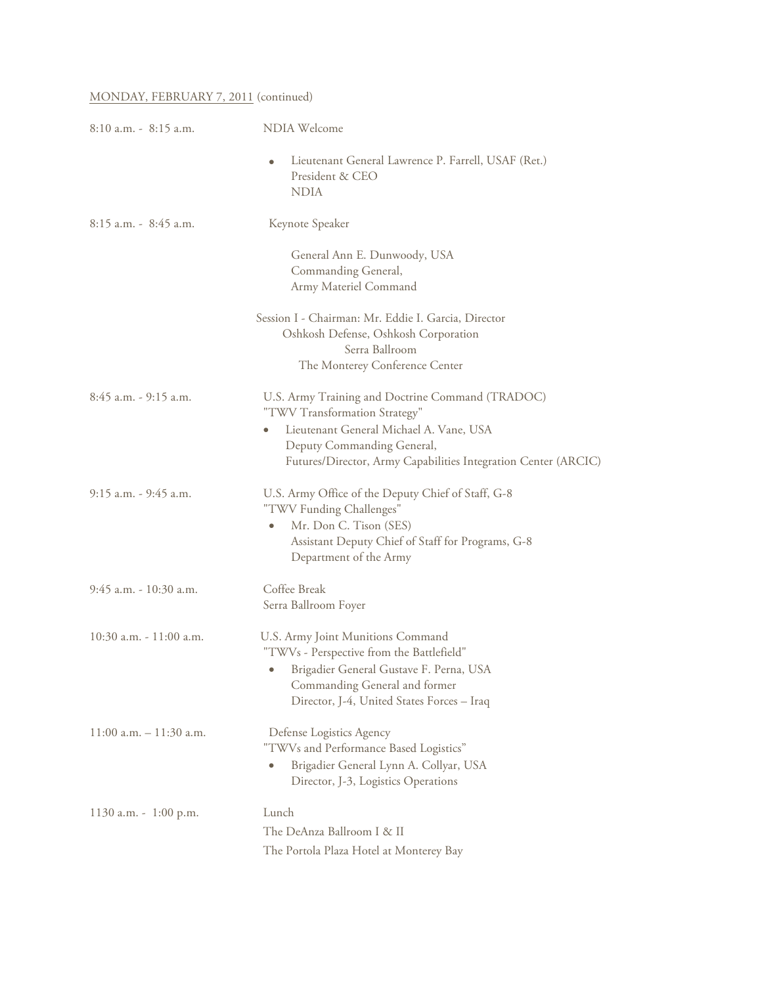## MONDAY, FEBRUARY 7, 2011 (continued)

| $8:10$ a.m. $-8:15$ a.m.   | <b>NDIA Welcome</b>                                                                                                                                                                                                                       |  |  |
|----------------------------|-------------------------------------------------------------------------------------------------------------------------------------------------------------------------------------------------------------------------------------------|--|--|
|                            | Lieutenant General Lawrence P. Farrell, USAF (Ret.)<br>$\bullet$<br>President & CEO<br><b>NDIA</b>                                                                                                                                        |  |  |
| $8:15$ a.m. - $8:45$ a.m.  | Keynote Speaker                                                                                                                                                                                                                           |  |  |
|                            | General Ann E. Dunwoody, USA<br>Commanding General,<br>Army Materiel Command                                                                                                                                                              |  |  |
|                            | Session I - Chairman: Mr. Eddie I. Garcia, Director<br>Oshkosh Defense, Oshkosh Corporation<br>Serra Ballroom<br>The Monterey Conference Center                                                                                           |  |  |
| 8:45 a.m. - 9:15 a.m.      | U.S. Army Training and Doctrine Command (TRADOC)<br>"TWV Transformation Strategy"<br>Lieutenant General Michael A. Vane, USA<br>$\bullet$<br>Deputy Commanding General,<br>Futures/Director, Army Capabilities Integration Center (ARCIC) |  |  |
| $9:15$ a.m. $-9:45$ a.m.   | U.S. Army Office of the Deputy Chief of Staff, G-8<br>"TWV Funding Challenges"<br>Mr. Don C. Tison (SES)<br>۰<br>Assistant Deputy Chief of Staff for Programs, G-8<br>Department of the Army                                              |  |  |
| 9:45 a.m. - 10:30 a.m.     | Coffee Break<br>Serra Ballroom Foyer                                                                                                                                                                                                      |  |  |
| $10:30$ a.m. $-11:00$ a.m. | U.S. Army Joint Munitions Command<br>"TWVs - Perspective from the Battlefield"<br>Brigadier General Gustave F. Perna, USA<br>$\bullet$<br>Commanding General and former<br>Director, J-4, United States Forces - Iraq                     |  |  |
| $11:00$ a.m. $-11:30$ a.m. | Defense Logistics Agency<br>"TWVs and Performance Based Logistics"<br>Brigadier General Lynn A. Collyar, USA<br>۰<br>Director, J-3, Logistics Operations                                                                                  |  |  |
| 1130 a.m. - 1:00 p.m.      | Lunch<br>The DeAnza Ballroom I & II<br>The Portola Plaza Hotel at Monterey Bay                                                                                                                                                            |  |  |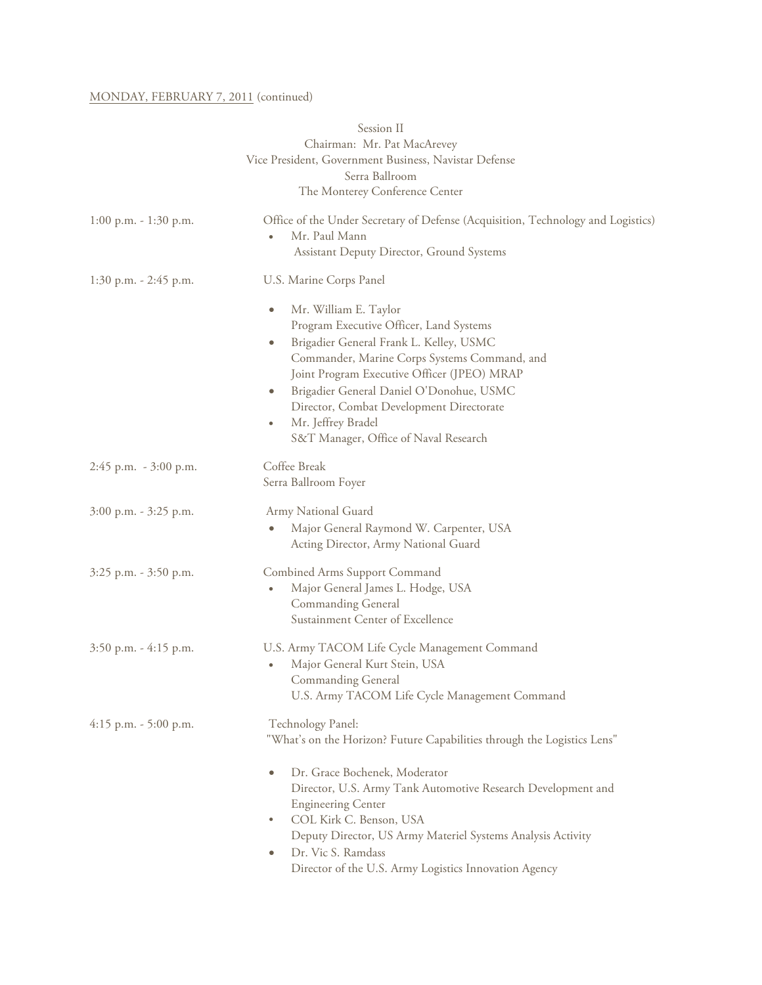### MONDAY, FEBRUARY 7, 2011 (continued)

|                           | Session II                                                                                                                                                                                                                                                                                                                                                                                                            |  |
|---------------------------|-----------------------------------------------------------------------------------------------------------------------------------------------------------------------------------------------------------------------------------------------------------------------------------------------------------------------------------------------------------------------------------------------------------------------|--|
|                           | Chairman: Mr. Pat MacArevey                                                                                                                                                                                                                                                                                                                                                                                           |  |
|                           | Vice President, Government Business, Navistar Defense                                                                                                                                                                                                                                                                                                                                                                 |  |
|                           | Serra Ballroom                                                                                                                                                                                                                                                                                                                                                                                                        |  |
|                           | The Monterey Conference Center                                                                                                                                                                                                                                                                                                                                                                                        |  |
| $1:00$ p.m. - $1:30$ p.m. | Office of the Under Secretary of Defense (Acquisition, Technology and Logistics)<br>Mr. Paul Mann<br>$\bullet$<br>Assistant Deputy Director, Ground Systems                                                                                                                                                                                                                                                           |  |
| 1:30 p.m. - 2:45 p.m.     | U.S. Marine Corps Panel                                                                                                                                                                                                                                                                                                                                                                                               |  |
|                           | Mr. William E. Taylor<br>$\bullet$<br>Program Executive Officer, Land Systems<br>Brigadier General Frank L. Kelley, USMC<br>$\bullet$<br>Commander, Marine Corps Systems Command, and<br>Joint Program Executive Officer (JPEO) MRAP<br>Brigadier General Daniel O'Donohue, USMC<br>$\bullet$<br>Director, Combat Development Directorate<br>Mr. Jeffrey Bradel<br>$\bullet$<br>S&T Manager, Office of Naval Research |  |
| 2:45 p.m. - 3:00 p.m.     | Coffee Break<br>Serra Ballroom Foyer                                                                                                                                                                                                                                                                                                                                                                                  |  |
| 3:00 p.m. - 3:25 p.m.     | Army National Guard<br>Major General Raymond W. Carpenter, USA<br>Acting Director, Army National Guard                                                                                                                                                                                                                                                                                                                |  |
| 3:25 p.m. - 3:50 p.m.     | <b>Combined Arms Support Command</b><br>Major General James L. Hodge, USA<br>۰<br><b>Commanding General</b><br>Sustainment Center of Excellence                                                                                                                                                                                                                                                                       |  |
| $3:50$ p.m. $-4:15$ p.m.  | U.S. Army TACOM Life Cycle Management Command<br>Major General Kurt Stein, USA<br>Commanding General<br>U.S. Army TACOM Life Cycle Management Command                                                                                                                                                                                                                                                                 |  |
| $4:15$ p.m. $-5:00$ p.m.  | Technology Panel:<br>"What's on the Horizon? Future Capabilities through the Logistics Lens"                                                                                                                                                                                                                                                                                                                          |  |
|                           | Dr. Grace Bochenek, Moderator<br>$\bullet$<br>Director, U.S. Army Tank Automotive Research Development and<br><b>Engineering Center</b><br>COL Kirk C. Benson, USA<br>$\bullet$<br>Deputy Director, US Army Materiel Systems Analysis Activity<br>Dr. Vic S. Ramdass<br>۰<br>Director of the U.S. Army Logistics Innovation Agency                                                                                    |  |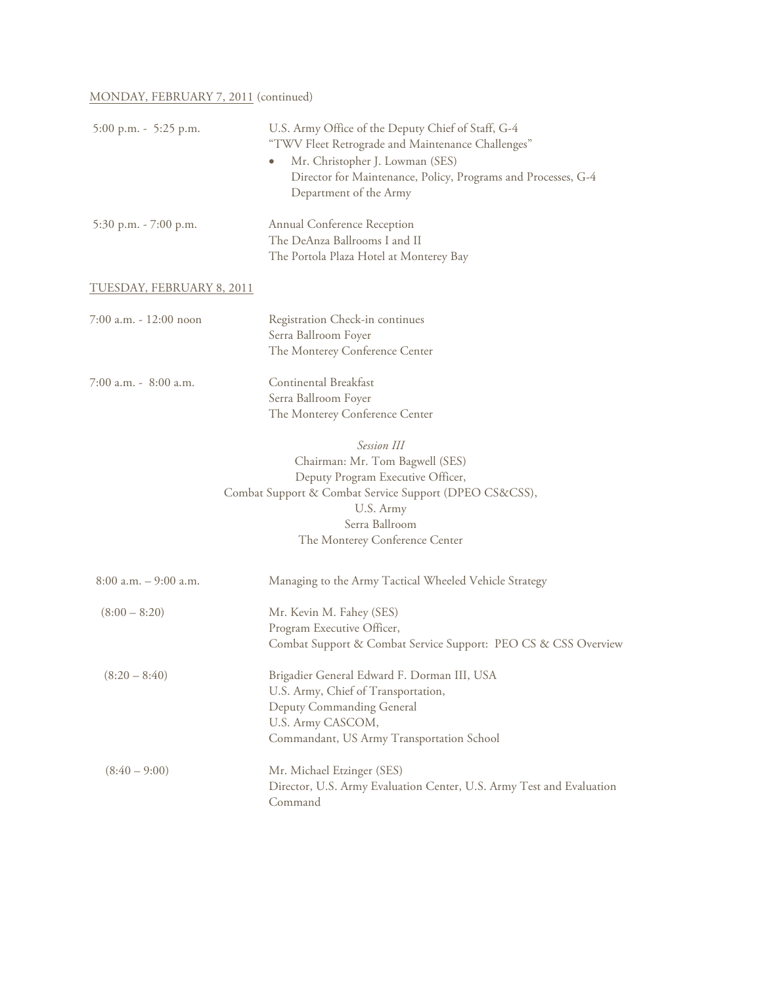## MONDAY, FEBRUARY 7, 2011 (continued)

| 5:00 p.m. - 5:25 p.m.     | U.S. Army Office of the Deputy Chief of Staff, G-4<br>"TWV Fleet Retrograde and Maintenance Challenges"<br>Mr. Christopher J. Lowman (SES)<br>Director for Maintenance, Policy, Programs and Processes, G-4<br>Department of the Army |
|---------------------------|---------------------------------------------------------------------------------------------------------------------------------------------------------------------------------------------------------------------------------------|
| 5:30 p.m. - 7:00 p.m.     | Annual Conference Reception<br>The DeAnza Ballrooms I and II<br>The Portola Plaza Hotel at Monterey Bay                                                                                                                               |
| TUESDAY, FEBRUARY 8, 2011 |                                                                                                                                                                                                                                       |
| 7:00 a.m. - 12:00 noon    | Registration Check-in continues<br>Serra Ballroom Foyer<br>The Monterey Conference Center                                                                                                                                             |
| 7:00 a.m. - 8:00 a.m.     | Continental Breakfast<br>Serra Ballroom Foyer<br>The Monterey Conference Center                                                                                                                                                       |
|                           | Session III<br>Chairman: Mr. Tom Bagwell (SES)<br>Deputy Program Executive Officer,<br>Combat Support & Combat Service Support (DPEO CS&CSS),<br>U.S. Army<br>Serra Ballroom<br>The Monterey Conference Center                        |
| $8:00$ a.m. $-$ 9:00 a.m. | Managing to the Army Tactical Wheeled Vehicle Strategy                                                                                                                                                                                |
| $(8:00 - 8:20)$           | Mr. Kevin M. Fahey (SES)<br>Program Executive Officer,<br>Combat Support & Combat Service Support: PEO CS & CSS Overview                                                                                                              |
| $(8:20 - 8:40)$           | Brigadier General Edward F. Dorman III, USA<br>U.S. Army, Chief of Transportation,<br>Deputy Commanding General<br>U.S. Army CASCOM,<br>Commandant, US Army Transportation School                                                     |
| $(8:40 - 9:00)$           | Mr. Michael Etzinger (SES)<br>Director, U.S. Army Evaluation Center, U.S. Army Test and Evaluation<br>Command                                                                                                                         |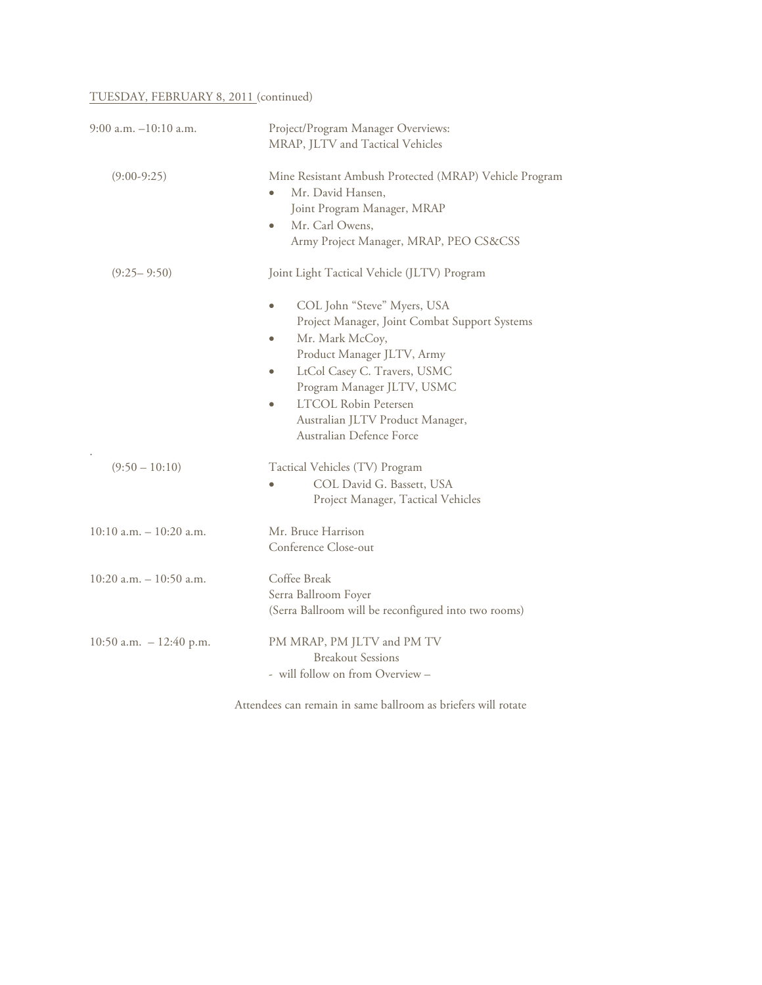# TUESDAY, FEBRUARY 8, 2011 (continued)

| $9:00$ a.m. $-10:10$ a.m.  | Project/Program Manager Overviews:<br>MRAP, JLTV and Tactical Vehicles                                                                                                                                                                                                                                                                                                           |  |
|----------------------------|----------------------------------------------------------------------------------------------------------------------------------------------------------------------------------------------------------------------------------------------------------------------------------------------------------------------------------------------------------------------------------|--|
| $(9:00-9:25)$              | Mine Resistant Ambush Protected (MRAP) Vehicle Program<br>Mr. David Hansen,<br>Joint Program Manager, MRAP<br>Mr. Carl Owens,<br>٠<br>Army Project Manager, MRAP, PEO CS&CSS                                                                                                                                                                                                     |  |
| $(9:25 - 9:50)$            | Joint Light Tactical Vehicle (JLTV) Program<br>COL John "Steve" Myers, USA<br>Project Manager, Joint Combat Support Systems<br>Mr. Mark McCoy,<br>$\bullet$<br>Product Manager JLTV, Army<br>LtCol Casey C. Travers, USMC<br>$\bullet$<br>Program Manager JLTV, USMC<br><b>LTCOL Robin Petersen</b><br>$\bullet$<br>Australian JLTV Product Manager,<br>Australian Defence Force |  |
| $(9:50 - 10:10)$           | Tactical Vehicles (TV) Program<br>COL David G. Bassett, USA<br>Project Manager, Tactical Vehicles                                                                                                                                                                                                                                                                                |  |
| $10:10$ a.m. $-10:20$ a.m. | Mr. Bruce Harrison<br>Conference Close-out                                                                                                                                                                                                                                                                                                                                       |  |
| $10:20$ a.m. $-10:50$ a.m. | Coffee Break<br>Serra Ballroom Foyer<br>(Serra Ballroom will be reconfigured into two rooms)                                                                                                                                                                                                                                                                                     |  |
| 10:50 a.m. $-12:40$ p.m.   | PM MRAP, PM JLTV and PM TV<br><b>Breakout Sessions</b><br>- will follow on from Overview -                                                                                                                                                                                                                                                                                       |  |
|                            |                                                                                                                                                                                                                                                                                                                                                                                  |  |

Attendees can remain in same ballroom as briefers will rotate